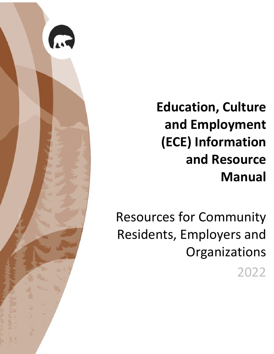

**Education, Culture and Employment (ECE) Information and Resource Manual**

Resources for Community Residents, Employers and **Organizations** 2022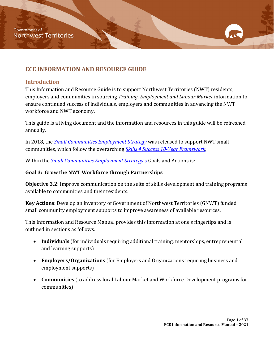# <span id="page-1-0"></span>**ECE INFORMATION AND RESOURCE GUIDE**

#### <span id="page-1-1"></span>**Introduction**

This Information and Resource Guide is to support Northwest Territories (NWT) residents, employers and communities in sourcing *Training, Employment and Labour Market* information to ensure continued success of individuals, employers and communities in advancing the NWT workforce and NWT economy.

This guide is a living document and the information and resources in this guide will be refreshed annually.

In 2018, the *[Small Communities Employment Strategy](https://www.ece.gov.nt.ca/sites/ece/files/resources/024-sc_employment_strategy_web.pdf)* was released to support NWT small communities, which follow the overarching *[Skills 4 Success 10-Year Framework.](https://www.ece.gov.nt.ca/sites/ece/files/resources/skills_4_success_-_10-year_strategic_framework.pdf)* 

Within the *[Small Communities Employment Strategy](https://www.ece.gov.nt.ca/sites/ece/files/resources/024-sc_employment_strategy_web.pdf)*'s Goals and Actions is:

#### **Goal 3: Grow the NWT Workforce through Partnerships**

**Objective 3.2**: Improve communication on the suite of skills development and training programs available to communities and their residents.

**Key Actions**: Develop an inventory of Government of Northwest Territories (GNWT) funded small community employment supports to improve awareness of available resources.

This Information and Resource Manual provides this information at one's fingertips and is outlined in sections as follows:

- **Individuals** (for individuals requiring additional training, mentorships, entrepreneurial and learning supports)
- **Employers/Organizations** (for Employers and Organizations requiring business and employment supports)
- **Communities** (to address local Labour Market and Workforce Development programs for communities)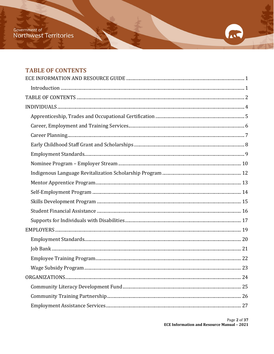# <span id="page-2-0"></span>**TABLE OF CONTENTS**

A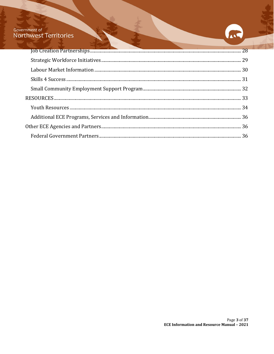# Government of<br>Northwest Territories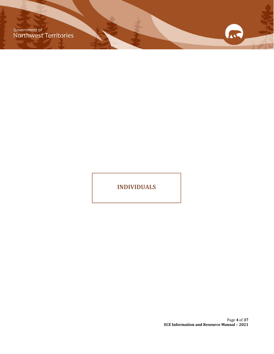Government of<br>Northwest Territories

**INDIVIDUALS**

Page **4** of **37 ECE Information and Resource Manual – 2021**

11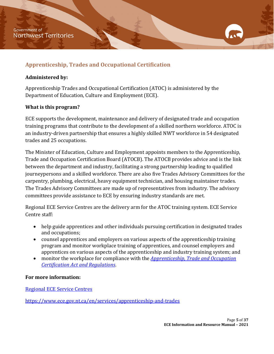# <span id="page-5-0"></span>**Apprenticeship, Trades and Occupational Certification**

#### **Administered by:**

Apprenticeship Trades and Occupational Certification (ATOC) is administered by the Department of Education, Culture and Employment (ECE).

## **What is this program?**

ECE supports the development, maintenance and delivery of designated trade and occupation training programs that contribute to the development of a skilled northern workforce. ATOC is an industry-driven partnership that ensures a highly skilled NWT workforce in 54 designated trades and 25 occupations.

The Minister of Education, Culture and Employment appoints members to the Apprenticeship, Trade and Occupation Certification Board (ATOCB). The ATOCB provides advice and is the link between the department and industry, facilitating a strong partnership leading to qualified journeypersons and a skilled workforce. There are also five Trades Advisory Committees for the carpentry, plumbing, electrical, heavy equipment technician, and housing maintainer trades. The Trades Advisory Committees are made up of representatives from industry. The advisory committees provide assistance to ECE by ensuring industry standards are met.

Regional ECE Service Centres are the delivery arm for the ATOC training system. ECE Service Centre staff:

- help guide apprentices and other individuals pursuing certification in designated trades and occupations;
- counsel apprentices and employers on various aspects of the apprenticeship training program and monitor workplace training of apprentices, and counsel employers and apprentices on various aspects of the apprenticeship and industry training system; and
- monitor the workplace for compliance with the *[Apprenticeship, Trade and Occupation](https://www.justice.gov.nt.ca/en/legislation/#gn-filebrowse-0:/a/apprenticeship-trade-occupation-cert/)  [Certification Act and Regulations](https://www.justice.gov.nt.ca/en/legislation/#gn-filebrowse-0:/a/apprenticeship-trade-occupation-cert/)*.

## **For more information:**

[Regional ECE Service Centres](https://www.ece.gov.nt.ca/en/ece-service-centres)

<https://www.ece.gov.nt.ca/en/services/apprenticeship-and-trades>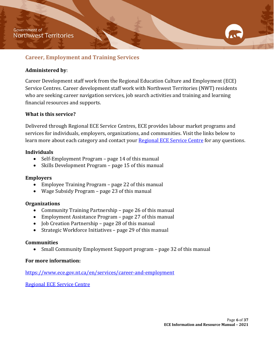## <span id="page-6-0"></span>**Career, Employment and Training Services**

#### **Administered by**:

Career Development staff work from the Regional Education Culture and Employment (ECE) Service Centres. Career development staff work with Northwest Territories (NWT) residents who are seeking career navigation services, job search activities and training and learning financial resources and supports.

#### **What is this service?**

Delivered through Regional ECE Service Centres, ECE provides labour market programs and services for individuals, employers, organizations, and communities. Visit the links below to learn more about each category and contact your [Regional ECE Service Centre](https://www.ece.gov.nt.ca/en/ece-service-centres) for any questions.

#### **Individuals**

- Self-Employment Program page 14 of this manual
- Skills Development Program page 15 of this manual

#### **Employers**

- Employee Training Program page 22 of this manual
- Wage Subsidy Program page 23 of this manual

#### **Organizations**

- Community Training Partnership page 26 of this manual
- Employment Assistance Program page 27 of this manual
- Job Creation Partnership page 28 of this manual
- Strategic Workforce Initiatives page 29 of this manual

#### **Communities**

• Small Community Employment Support program – page 32 of this manual

#### **For more information:**

<https://www.ece.gov.nt.ca/en/services/career-and-employment>

[Regional ECE Service Centre](https://www.ece.gov.nt.ca/en/ece-service-centres)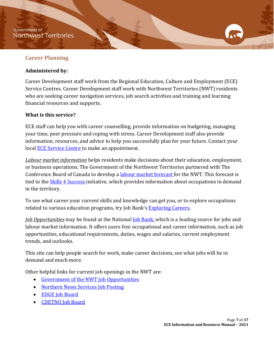#### **Government of Northwest Territories**

## <span id="page-7-0"></span>**Career Planning**

#### **Administered by:**

Career Development staff work from the Regional Education, Culture and Employment (ECE) Service Centres. Career Development staff work with Northwest Territories (NWT) residents who are seeking career navigation services, job search activities and training and learning financial resources and supports.

#### **What is this service?**

ECE staff can help you with career counselling, provide information on budgeting, managing your time, peer pressure and coping with stress. Career Development staff also provide information, resources, and advice to help you successfully plan for your future. Contact your local [ECE Service Centre](https://www.ece.gov.nt.ca/en/ece-service-centres) to make an appointment.

*Labour market information* helps residents make decisions about their education, employment, or business operations. The Government of the Northwest Territories partnered with The Conference Board of Canada to develop a [labour market forecast f](https://www.ece.gov.nt.ca/en/content/skills-4-success-labour-market-forecast-and-needs-assessment-resource)or the NWT. This forecast is tied to the **Skills 4 Success** initiative, which provides information about occupations in demand in the territory.

To see what career your current skills and knowledge can get you, or to explore occupations related to various education programs, try Job Bank's [Exploring Careers.](https://www.jobbank.gc.ca/content_pieces-eng.do?cid=5223)

*Job Opportunities* may be found at the National [Job Bank,](https://www.jobbank.gc.ca/home) which is a leading source for jobs and labour market information. It offers users free occupational and career information, such as job opportunities, educational requirements, duties, wages and salaries, current employment trends, and outlooks.

This site can help people search for work, make career decisions, see what jobs will be in demand and much more.

Other helpful links for current job openings in the NWT are:

- [Government of the NWT Job Opportunities](http://careers.hr.gov.nt.ca/)
- [Northern News Services Job Posting](https://jobs.nnsl.com/)
- [EDGE Job Board](https://edgeyk.com/jobsnorth/)
- [CDETNO Job Board](http://cdetno.com/en/jobs)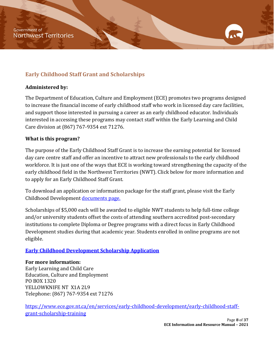# <span id="page-8-0"></span>**Early Childhood Staff Grant and Scholarships**

#### **Administered by:**

The Department of Education, Culture and Employment (ECE) promotes two programs designed to increase the financial income of early childhood staff who work in licensed day care facilities, and support those interested in pursuing a career as an early childhood educator. Individuals interested in accessing these programs may contact staff within the Early Learning and Child Care division at (867) 767-9354 ext 71276.

## **What is this program?**

The purpose of the Early Childhood Staff Grant is to increase the earning potential for licensed day care centre staff and offer an incentive to attract new professionals to the early childhood workforce. It is just one of the ways that ECE is working toward strengthening the capacity of the early childhood field in the Northwest Territories (NWT). Click below for more information and to apply for an Early Childhood Staff Grant.

To download an application or information package for the staff grant, please visit the Early Childhood Development [documents page.](https://www.ece.gov.nt.ca/en/services/early-childhood-development/documents-forms-and-resources)

Scholarships of \$5,000 each will be awarded to eligible NWT students to help full-time college and/or university students offset the costs of attending southern accredited post-secondary institutions to complete Diploma or Degree programs with a direct focus in Early Childhood Development studies during that academic year. Students enrolled in online programs are not eligible.

## **[Early Childhood Development Scholarship Application](https://www.ece.gov.nt.ca/en/content/early-childhood-development-scholarship-application)**

#### **For more information:**

Early Learning and Child Care Education, Culture and Employment PO BOX 1320 YELLOWKNIFE NT X1A 2L9 Telephone: (867) 767-9354 ext 71276

[https://www.ece.gov.nt.ca/en/services/early-childhood-development/early-childhood-staff](https://www.ece.gov.nt.ca/en/services/early-childhood-development/early-childhood-staff-grant-scholarship-training)[grant-scholarship-training](https://www.ece.gov.nt.ca/en/services/early-childhood-development/early-childhood-staff-grant-scholarship-training)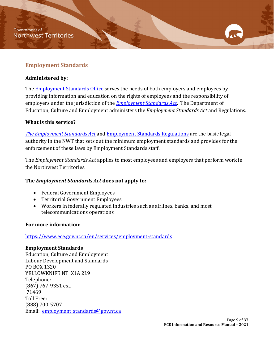## <span id="page-9-0"></span>**Employment Standards**

#### **Administered by:**

The **Employment Standards Office** serves the needs of both employers and employees by providing information and education on the rights of employees and the responsibility of employers under the jurisdiction of the *[Employment Standards Act](https://www.justice.gov.nt.ca/en/files/legislation/employment-standards/employment-standards.a.pdf)*. The Department of Education, Culture and Employment administers the *Employment Standards Act* and Regulations.

## **What is this service?**

*[The Employment Standards Act](https://www.justice.gov.nt.ca/en/files/legislation/employment-standards/employment-standards.a.pdf)* and [Employment Standards Regulations](https://www.justice.gov.nt.ca/en/files/legislation/employment-standards/employment-standards.r1.pdf) are the basic legal authority in the NWT that sets out the minimum employment standards and provides for the enforcement of these laws by Employment Standards staff.

The *Employment Standards Act* applies to most employees and employers that perform work in the Northwest Territories.

## **The** *Employment Standards Act* **does not apply to:**

- Federal Government Employees
- Territorial Government Employees
- Workers in federally regulated industries such as airlines, banks, and most telecommunications operations

#### **For more information:**

<https://www.ece.gov.nt.ca/en/services/employment-standards>

#### **Employment Standards**

Education, Culture and Employment Labour Development and Standards PO BOX 1320 YELLOWKNIFE NT X1A 2L9 Telephone: (867) 767-9351 ext. 71469 Toll Free: (888) 700-5707 Email: employment standards@gov.nt.ca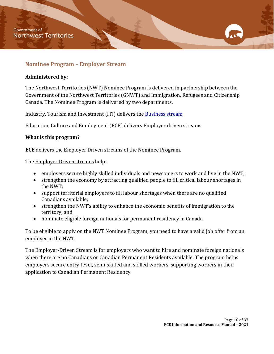#### <span id="page-10-0"></span>**Nominee Program** – **Employer Stream**

#### **Administered by:**

The Northwest Territories (NWT) Nominee Program is delivered in partnership between the Government of the Northwest Territories (GNWT) and Immigration, Refugees and Citizenship Canada. The Nominee Program is delivered by two departments.

Industry, Tourism and Investment (ITI) delivers the [Business stream](#page-22-1)

Education, Culture and Employment (ECE) delivers Employer driven streams

#### **What is this program?**

**ECE** delivers the Employer Driven streams of the Nominee Program.

The **Employer Driven streams** help:

- employers secure highly skilled individuals and newcomers to work and live in the NWT;
- strengthen the economy by attracting qualified people to fill critical labour shortages in the NWT;
- support territorial employers to fill labour shortages when there are no qualified Canadians available;
- strengthen the NWT's ability to enhance the economic benefits of immigration to the territory; and
- nominate eligible foreign nationals for permanent residency in Canada.

To be eligible to apply on the NWT Nominee Program, you need to have a valid job offer from an employer in the NWT.

The Employer-Driven Stream is for employers who want to hire and nominate foreign nationals when there are no Canadians or Canadian Permanent Residents available. The program helps employers secure entry-level, semi-skilled and skilled workers, supporting workers in their application to Canadian Permanent Residency.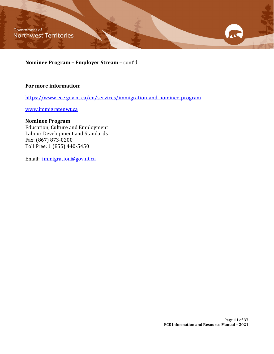Government of Northwest Territories

**Nominee Program – Employer Stream** – cont'd

#### **For more information:**

<https://www.ece.gov.nt.ca/en/services/immigration-and-nominee-program>

[www.immigratenwt.ca](http://www.immigratenwt.ca/)

#### **Nominee Program**

Education, Culture and Employment Labour Development and Standards Fax: (867) 873-0200 Toll Free: 1 (855) 440-5450

Email: [immigration@gov.nt.ca](mailto:immigration@gov.nt.ca)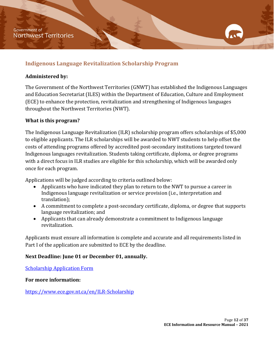## <span id="page-12-0"></span>**Indigenous Language Revitalization Scholarship Program**

#### **Administered by:**

The Government of the Northwest Territories (GNWT) has established the Indigenous Languages and Education Secretariat (ILES) within the Department of Education, Culture and Employment (ECE) to enhance the protection, revitalization and strengthening of Indigenous languages throughout the Northwest Territories (NWT).

## **What is this program?**

The Indigenous Language Revitalization (ILR) scholarship program offers scholarships of \$5,000 to eligible applicants. The ILR scholarships will be awarded to NWT students to help offset the costs of attending programs offered by accredited post-secondary institutions targeted toward Indigenous languages revitalization. Students taking certificate, diploma, or degree programs with a direct focus in ILR studies are eligible for this scholarship, which will be awarded only once for each program.

Applications will be judged according to criteria outlined below:

- Applicants who have indicated they plan to return to the NWT to pursue a career in Indigenous language revitalization or service provision (i.e., interpretation and translation);
- A commitment to complete a post-secondary certificate, diploma, or degree that supports language revitalization; and
- Applicants that can already demonstrate a commitment to Indigenous language revitalization.

Applicants must ensure all information is complete and accurate and all requirements listed in Part I of the application are submitted to ECE by the deadline.

## **Next Deadline: June 01 or December 01, annually.**

[Scholarship Application Form](https://www.ece.gov.nt.ca/en/content/scholarship-application-indigenous-language-revitalization)

#### **For more information:**

<https://www.ece.gov.nt.ca/en/ILR-Scholarship>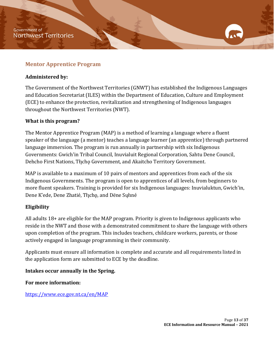#### <span id="page-13-0"></span>**Mentor Apprentice Program**

#### **Administered by:**

The Government of the Northwest Territories (GNWT) has established the Indigenous Languages and Education Secretariat (ILES) within the Department of Education, Culture and Employment (ECE) to enhance the protection, revitalization and strengthening of Indigenous languages throughout the Northwest Territories (NWT).

#### **What is this program?**

The Mentor Apprentice Program (MAP) is a method of learning a language where a fluent speaker of the language (a mentor) teaches a language learner (an apprentice) through partnered language immersion. The program is run annually in partnership with six Indigenous Governments: Gwich'in Tribal Council, Inuvialuit Regional Corporation, Sahtu Dene Council, Dehcho First Nations, Tłįcho Government, and Akaitcho Territory Government.

MAP is available to a maximum of 10 pairs of mentors and apprentices from each of the six Indigenous Governments. The program is open to apprentices of all levels, from beginners to more fluent speakers. Training is provided for six Indigenous languages: Inuvialuktun, Gwich'in, Dene K'ede, Dene Zhatié, Tłįcho, and Dëne Sųłiné

#### **Eligibility**

All adults 18+ are eligible for the MAP program. Priority is given to Indigenous applicants who reside in the NWT and those with a demonstrated commitment to share the language with others upon completion of the program. This includes teachers, childcare workers, parents, or those actively engaged in language programming in their community.

Applicants must ensure all information is complete and accurate and all requirements listed in the application form are submitted to ECE by the deadline.

#### **Intakes occur annually in the Spring.**

**For more information:**

<https://www.ece.gov.nt.ca/en/MAP>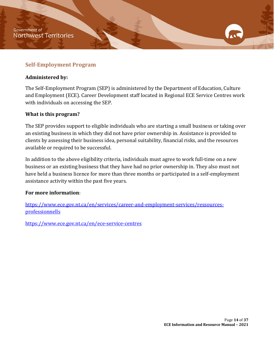## <span id="page-14-0"></span>**Self-Employment Program**

#### **Administered by:**

The Self-Employment Program (SEP) is administered by the Department of Education, Culture and Employment (ECE). Career Development staff located in Regional ECE Service Centres work with individuals on accessing the SEP.

#### **What is this program?**

The SEP provides support to eligible individuals who are starting a small business or taking over an existing business in which they did not have prior ownership in. Assistance is provided to clients by assessing their business idea, personal suitability, financial risks, and the resources available or required to be successful.

In addition to the above eligibility criteria, individuals must agree to work full-time on a new business or an existing business that they have had no prior ownership in. They also must not have held a business licence for more than three months or participated in a self-employment assistance activity within the past five years.

#### **For more information**:

[https://www.ece.gov.nt.ca/en/services/career-and-employment-services/ressources](https://www.ece.gov.nt.ca/en/services/career-and-employment-services/ressources-professionnells)[professionnells](https://www.ece.gov.nt.ca/en/services/career-and-employment-services/ressources-professionnells)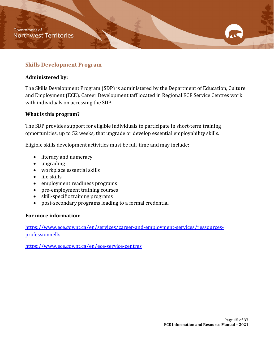## <span id="page-15-0"></span>**Skills Development Program**

#### **Administered by:**

The Skills Development Program (SDP) is administered by the Department of Education, Culture and Employment (ECE). Career Development taff located in Regional ECE Service Centres work with individuals on accessing the SDP.

#### **What is this program?**

The SDP provides support for eligible individuals to participate in short-term training opportunities, up to 52 weeks, that upgrade or develop essential employability skills.

Eligible skills development activities must be full-time and may include:

- literacy and numeracy
- upgrading
- workplace essential skills
- life skills
- employment readiness programs
- pre-employment training courses
- skill-specific training programs
- post-secondary programs leading to a formal credential

#### **For more information:**

[https://www.ece.gov.nt.ca/en/services/career-and-employment-services/ressources](https://www.ece.gov.nt.ca/en/services/career-and-employment-services/ressources-professionnells)[professionnells](https://www.ece.gov.nt.ca/en/services/career-and-employment-services/ressources-professionnells)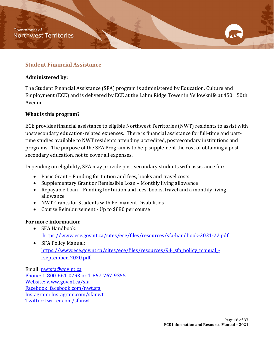## <span id="page-16-0"></span>**Student Financial Assistance**

#### **Administered by:**

The Student Financial Assistance (SFA) program is administered by Education, Culture and Employment (ECE) and is delivered by ECE at the Lahm Ridge Tower in Yellowknife at 4501 50th Avenue.

#### **What is this program?**

ECE provides financial assistance to eligible Northwest Territories (NWT) residents to assist with postsecondary education-related expenses. There is financial assistance for full-time and parttime studies available to NWT residents attending accredited, postsecondary institutions and programs. The purpose of the SFA Program is to help supplement the cost of obtaining a postsecondary education, not to cover all expenses.

Depending on eligibility, SFA may provide post-secondary students with assistance for:

- Basic Grant Funding for tuition and fees, books and travel costs
- Supplementary Grant or Remissible Loan Monthly living allowance
- Repayable Loan Funding for tuition and fees, books, travel and a monthly living allowance
- NWT Grants for Students with Permanent Disabilities
- Course Reimbursement Up to \$880 per course

#### **For more information:**

- SFA Handbook: <https://www.ece.gov.nt.ca/sites/ece/files/resources/sfa-handbook-2021-22.pdf>
- SFA Policy Manual: https://www.ece.gov.nt.ca/sites/ece/files/resources/94. sfa\_policy\_manual\_-[\\_september\\_2020.pdf](https://www.ece.gov.nt.ca/sites/ece/files/resources/94._sfa_policy_manual_-_september_2020.pdf)

Email: [nwtsfa@gov.nt.ca](mailto:nwtsfa@gov.nt.ca) Phone: 1-800-661-0793 or 1-867-767-9355 Website: [www.gov.nt.ca/sfa](http://www.gov.nt.ca/sfa) Facebook: facebook.com/nwt.sfa Instagram: Instagram.com/sfanwt Twitter: twitter.com/sfanwt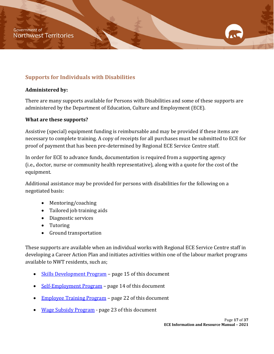# <span id="page-17-0"></span>**Supports for Individuals with Disabilities**

#### **Administered by:**

There are many supports available for Persons with Disabilities and some of these supports are administered by the Department of Education, Culture and Employment (ECE).

#### **What are these supports?**

Assistive (special) equipment funding is reimbursable and may be provided if these items are necessary to complete training. A copy of receipts for all purchases must be submitted to ECE for proof of payment that has been pre-determined by Regional ECE Service Centre staff.

In order for ECE to advance funds, documentation is required from a supporting agency (i.e., doctor, nurse or community health representative), along with a quote for the cost of the equipment.

Additional assistance may be provided for persons with disabilities for the following on a negotiated basis:

- Mentoring/coaching
- Tailored job training aids
- Diagnostic services
- Tutoring
- Ground transportation

These supports are available when an individual works with Regional ECE Service Centre staff in developing a Career Action Plan and initiates activities within one of the labour market programs available to NWT residents, such as;

- [Skills Development Program](https://www.ece.gov.nt.ca/en/services/career-and-employment-services/ressources-professionnells)  page 15 of this document
- [Self-Employment Program](https://www.ece.gov.nt.ca/en/services/career-and-employment-services/ressources-professionnells)  page 14 of this document
- [Employee Training Program](https://www.ece.gov.nt.ca/en/services/career-and-employment-services/ressources-pour-les-employeurs)  page 22 of this document
- [Wage Subsidy Program](https://www.ece.gov.nt.ca/en/services/career-and-employment-services/ressources-pour-les-employeurs)  page 23 of this document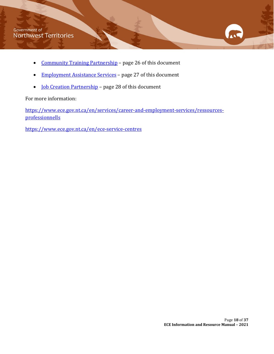- [Community Training Partnership](https://www.ece.gov.nt.ca/en/services/career-and-employment/organizations)  page 26 of this document
- Employment Assistance Services page 27 of this document
- **Job Creation Partnership** page 28 of this document

For more information:

[https://www.ece.gov.nt.ca/en/services/career-and-employment-services/ressources](https://www.ece.gov.nt.ca/en/services/career-and-employment-services/ressources-professionnells)[professionnells](https://www.ece.gov.nt.ca/en/services/career-and-employment-services/ressources-professionnells)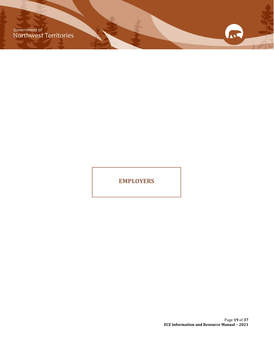Government of<br>Northwest Territories

**EMPLOYERS** 

Page **19** of **37 ECE Information and Resource Manual – 2021**

ALL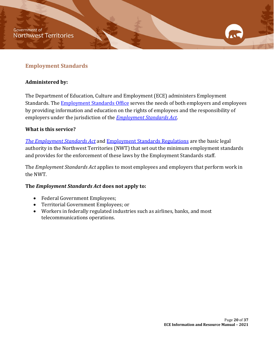## <span id="page-20-0"></span>**Employment Standards**

#### **Administered by:**

The Department of Education, Culture and Employment (ECE) administers Employment Standards. The **Employment Standards Office** serves the needs of both employers and employees by providing information and education on the rights of employees and the responsibility of employers under the jurisdiction of the *[Employment Standards Act](https://www.justice.gov.nt.ca/en/files/legislation/employment-standards/employment-standards.a.pdf)*.

#### **What is this service?**

*[The Employment Standards Act](https://www.justice.gov.nt.ca/en/files/legislation/employment-standards/employment-standards.a.pdf)* and [Employment Standards Regulations](https://www.justice.gov.nt.ca/en/files/legislation/employment-standards/employment-standards.r1.pdf) are the basic legal authority in the Northwest Territories (NWT) that set out the minimum employment standards and provides for the enforcement of these laws by the Employment Standards staff.

The *Employment Standards Act* applies to most employees and employers that perform work in the NWT.

#### **The** *Employment Standards Act* **does not apply to:**

- Federal Government Employees;
- Territorial Government Employees; or
- Workers in federally regulated industries such as airlines, banks, and most telecommunications operations.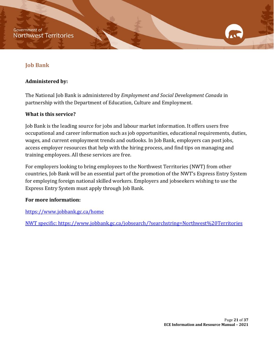## <span id="page-21-0"></span>**Job Bank**

#### **Administered by:**

The National Job Bank is administered by *Employment and Social Development Canada* in partnership with the Department of Education, Culture and Employment.

#### **What is this service?**

Job Bank is the leading source for jobs and labour market information. It offers users free occupational and career information such as job opportunities, educational requirements, duties, wages, and current employment trends and outlooks. In Job Bank, employers can post jobs, access employer resources that help with the hiring process, and find tips on managing and training employees. All these services are free.

For employers looking to bring employees to the Northwest Territories (NWT) from other countries, Job Bank will be an essential part of the promotion of the NWT's Express Entry System for employing foreign national skilled workers. Employers and jobseekers wishing to use the Express Entry System must apply through Job Bank.

#### **For more information:**

<https://www.jobbank.gc.ca/home>

NWT specific:<https://www.jobbank.gc.ca/jobsearch/?searchstring=Northwest%20Territories>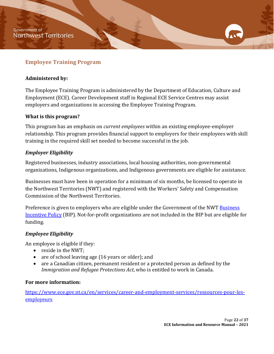## <span id="page-22-0"></span>**Employee Training Program**

#### **Administered by:**

The Employee Training Program is administered by the Department of Education, Culture and Employment (ECE). Career Development staff in Regional ECE Service Centres may assist employers and organizations in accessing the Employee Training Program.

#### **What is this program?**

This program has an emphasis on *current employees* within an existing employee-employer relationship. This program provides financial support to employers for their employees with skill training in the required skill set needed to become successful in the job.

#### *Employer Eligibility*

Registered businesses, industry associations, local housing authorities, non-governmental organizations, Indigenous organizations, and Indigenous governments are eligible for assistance.

Businesses must have been in operation for a minimum of six months, be licensed to operate in the Northwest Territories (NWT) and registered with the Workers' Safety and Compensation Commission of the Northwest Territories.

Preference is given to employers who are eligible under the Government of the NWT Business [Incentive Policy](http://www.iti.gov.nt.ca/en/services/business-incentive-policy) (BIP). Not-for-profit organizations are not included in the BIP but are eligible for funding.

#### *Employee Eligibility*

An employee is eligible if they:

- reside in the NWT;
- are of school leaving age (16 years or older); and
- are a Canadian citizen, permanent resident or a protected person as defined by the *Immigration and Refugee Protections Act*, who is entitled to work in Canada.

#### **For more information:**

<span id="page-22-1"></span>[https://www.ece.gov.nt.ca/en/services/career-and-employment-services/ressources-pour-les](https://www.ece.gov.nt.ca/en/services/career-and-employment-services/ressources-pour-les-employeurs)**[employeurs](https://www.ece.gov.nt.ca/en/services/career-and-employment-services/ressources-pour-les-employeurs)**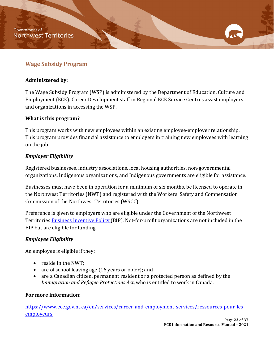## <span id="page-23-0"></span>**Wage Subsidy Program**

#### **Administered by:**

The Wage Subsidy Program (WSP) is administered by the Department of Education, Culture and Employment (ECE). Career Development staff in Regional ECE Service Centres assist employers and organizations in accessing the WSP.

#### **What is this program?**

This program works with new employees within an existing employee-employer relationship. This program provides financial assistance to employers in training new employees with learning on the job.

## *Employer Eligibility*

Registered businesses, industry associations, local housing authorities, non-governmental organizations, Indigenous organizations, and Indigenous governments are eligible for assistance.

Businesses must have been in operation for a minimum of six months, be licensed to operate in the Northwest Territories (NWT) and registered with the Workers' Safety and Compensation Commission of the Northwest Territories (WSCC).

Preference is given to employers who are eligible under the Government of the Northwest Territories [Business Incentive Policy \(](http://www.iti.gov.nt.ca/en/services/business-incentive-policy)BIP). Not-for-profit organizations are not included in the BIP but are eligible for funding.

#### *Employee Eligibility*

An employee is eligible if they:

- reside in the NWT;
- are of school leaving age (16 years or older); and
- are a Canadian citizen, permanent resident or a protected person as defined by the *Immigration and Refugee Protections Act*, who is entitled to work in Canada.

#### **For more information:**

[https://www.ece.gov.nt.ca/en/services/career-and-employment-services/ressources-pour-les](https://www.ece.gov.nt.ca/en/services/career-and-employment-services/ressources-pour-les-employeurs)[employeurs](https://www.ece.gov.nt.ca/en/services/career-and-employment-services/ressources-pour-les-employeurs)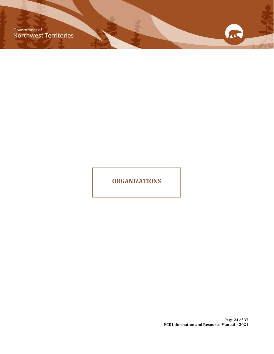Government of<br>Northwest Territories

**ORGANIZATIONS**

Page **24** of **37 ECE Information and Resource Manual – 2021**

ALL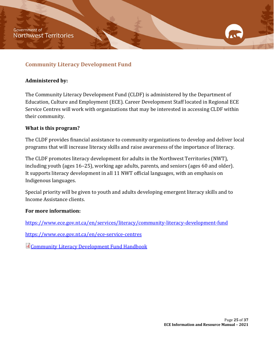## <span id="page-25-0"></span>**Community Literacy Development Fund**

#### **Administered by:**

The Community Literacy Development Fund (CLDF) is administered by the Department of Education, Culture and Employment (ECE). Career Development Staff located in Regional ECE Service Centres will work with organizations that may be interested in accessing CLDF within their community.

#### **What is this program?**

The CLDF provides financial assistance to community organizations to develop and deliver local programs that will increase literacy skills and raise awareness of the importance of literacy.

The CLDF promotes literacy development for adults in the Northwest Territories (NWT), including youth (ages 16–25), working age adults, parents, and seniors (ages 60 and older). It supports literacy development in all 11 NWT official languages, with an emphasis on Indigenous languages.

Special priority will be given to youth and adults developing emergent literacy skills and to Income Assistance clients.

#### **For more information:**

<https://www.ece.gov.nt.ca/en/services/literacy/community-literacy-development-fund>

<https://www.ece.gov.nt.ca/en/ece-service-centres>

**Community Literacy Development Fund Handbook**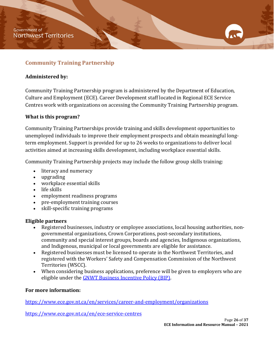## <span id="page-26-0"></span>**Community Training Partnership**

#### **Administered by:**

Community Training Partnership program is administered by the Department of Education, Culture and Employment (ECE). Career Development staff located in Regional ECE Service Centres work with organizations on accessing the Community Training Partnership program.

#### **What is this program?**

Community Training Partnerships provide training and skills development opportunities to unemployed individuals to improve their employment prospects and obtain meaningful longterm employment. Support is provided for up to 26 weeks to organizations to deliver local activities aimed at increasing skills development, including workplace essential skills.

Community Training Partnership projects may include the follow group skills training:

- literacy and numeracy
- upgrading
- workplace essential skills
- life skills
- employment readiness programs
- pre-employment training courses<br>• skill-specific training programs
- skill-specific training programs

#### **Eligible partners**

- Registered businesses, industry or employee associations, local housing authorities, nongovernmental organizations, Crown Corporations, post-secondary institutions, community and special interest groups, boards and agencies, Indigenous organizations, and Indigenous, municipal or local governments are eligible for assistance.
- Registered businesses must be licensed to operate in the Northwest Territories, and registered with the Workers' Safety and Compensation Commission of the Northwest Territories (WSCC).
- When considering business applications, preference will be given to employers who are eligible under the **GNWT Business Incentive Policy (BIP)**.

#### **For more information:**

<https://www.ece.gov.nt.ca/en/services/career-and-employment/organizations>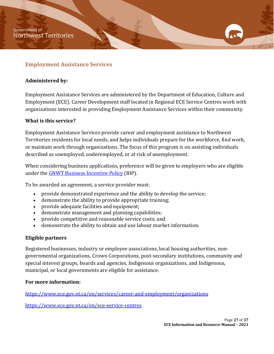## <span id="page-27-0"></span>**Employment Assistance Services**

#### **Administered by:**

Employment Assistance Services are administered by the Department of Education, Culture and Employment (ECE). Career Development staff located in Regional ECE Service Centres work with organizations interested in providing Employment Assistance Services within their community.

#### **What is this service?**

Employment Assistance Services provide career and employment assistance to Northwest Territories residents for local needs, and helps individuals prepare for the workforce, find work, or maintain work through organizations. The focus of this program is on assisting individuals described as unemployed, underemployed, or at risk of unemployment.

When considering business applications, preference will be given to employers who are eligible under the [GNWT Business Incentive](http://www.iti.gov.nt.ca/en/services/business-incentive-policy) Policy (BIP).

To be awarded an agreement, a service provider must:

- provide demonstrated experience and the ability to develop the service;
- demonstrate the ability to provide appropriate training;
- provide adequate facilities and equipment;
- demonstrate management and planning capabilities;
- provide competitive and reasonable service costs; and
- demonstrate the ability to obtain and use labour market information.

#### **Eligible partners**

Registered businesses, industry or employee associations, local housing authorities, nongovernmental organizations, Crown Corporations, post-secondary institutions, community and special interest groups, boards and agencies, Indigenous organizations, and Indigenous, municipal, or local governments are eligible for assistance.

#### **For more information:**

<https://www.ece.gov.nt.ca/en/services/career-and-employment/organizations>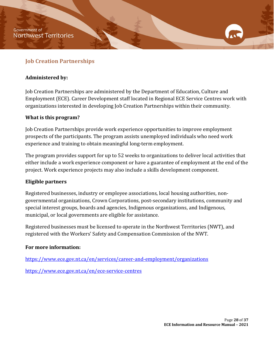## <span id="page-28-0"></span>**Job Creation Partnerships**

#### **Administered by:**

Job Creation Partnerships are administered by the Department of Education, Culture and Employment (ECE). Career Development staff located in Regional ECE Service Centres work with organizations interested in developing Job Creation Partnerships within their community.

#### **What is this program?**

Job Creation Partnerships provide work experience opportunities to improve employment prospects of the participants. The program assists unemployed individuals who need work experience and training to obtain meaningful long-term employment.

The program provides support for up to 52 weeks to organizations to deliver local activities that either include a work experience component or have a guarantee of employment at the end of the project. Work experience projects may also include a skills development component.

#### **Eligible partners**

Registered businesses, industry or employee associations, local housing authorities, nongovernmental organizations, Crown Corporations, post-secondary institutions, community and special interest groups, boards and agencies, Indigenous organizations, and Indigenous, municipal, or local governments are eligible for assistance.

Registered businesses must be licensed to operate in the Northwest Territories (NWT), and registered with the Workers' Safety and Compensation Commission of the NWT.

#### **For more information:**

<https://www.ece.gov.nt.ca/en/services/career-and-employment/organizations>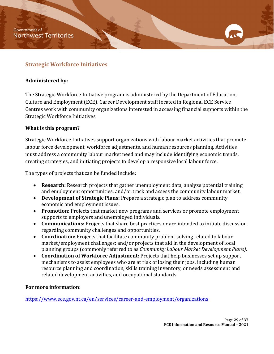## <span id="page-29-0"></span>**Strategic Workforce Initiatives**

#### **Administered by:**

The Strategic Workforce Initiative program is administered by the Department of Education, Culture and Employment (ECE). Career Development staff located in Regional ECE Service Centres work with community organizations interested in accessing financial supports within the Strategic Workforce Initiatives.

#### **What is this program?**

Strategic Workforce Initiatives support organizations with labour market activities that promote labour force development, workforce adjustments, and human resources planning. Activities must address a community labour market need and may include identifying economic trends, creating strategies, and initiating projects to develop a responsive local labour force.

The types of projects that can be funded include:

- **Research:** Research projects that gather unemployment data, analyze potential training and employment opportunities, and/or track and assess the community labour market.
- **Development of Strategic Plans:** Prepare a strategic plan to address community economic and employment issues.
- **Promotion:** Projects that market new programs and services or promote employment supports to employers and unemployed individuals.
- **Communications:** Projects that share best practices or are intended to initiate discussion regarding community challenges and opportunities.
- **Coordination:** Projects that facilitate community problem-solving related to labour market/employment challenges; and/or projects that aid in the development of local planning groups (commonly referred to as *Community Labour Market Development Plans)*.
- **Coordination of Workforce Adjustment:** Projects that help businesses set up support mechanisms to assist employees who are at risk of losing their jobs, including human resource planning and coordination, skills training inventory, or needs assessment and related development activities, and occupational standards.

#### **For more information:**

<https://www.ece.gov.nt.ca/en/services/career-and-employment/organizations>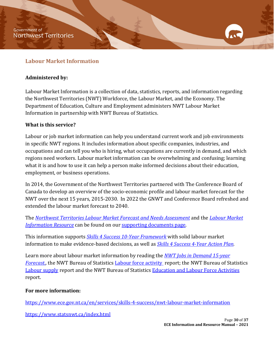#### <span id="page-30-0"></span>**Labour Market Information**

#### **Administered by:**

Labour Market Information is a collection of data, statistics, reports, and information regarding the Northwest Territories (NWT) Workforce, the Labour Market, and the Economy. The Department of Education, Culture and Employment administers NWT Labour Market Information in partnership with NWT Bureau of Statistics.

#### **What is this service?**

Labour or job market information can help you understand current work and job environments in specific NWT regions. It includes information about specific companies, industries, and occupations and can tell you who is hiring, what occupations are currently in demand, and which regions need workers. Labour market information can be overwhelming and confusing; learning what it is and how to use it can help a person make informed decisions about their education, employment, or business operations.

In 2014, the Government of the Northwest Territories partnered with The Conference Board of Canada to develop an overview of the socio-economic profile and labour market forecast for the NWT over the next 15 years, 2015-2030. In 2022 the GNWT and Conference Board refreshed and extended the labour market forecast to 2040.

The *[Northwest Territories Labour Market Forecast and Needs Assessment](https://www.ece.gov.nt.ca/sites/ece/files/resources/skills_4_success_-_labour_market_forecast_and_needs_assessment_-_resource.pdf)* and the *[Labour Market](https://www.ece.gov.nt.ca/sites/ece/files/resources/skills_4_success_-_labour_market_resource.pdf)  [Information Resource](https://www.ece.gov.nt.ca/sites/ece/files/resources/skills_4_success_-_labour_market_resource.pdf)* can be found on our [supporting documents page.](https://www.ece.gov.nt.ca/en/services/skills-4-success/supporting-documents)

This information supports *[Skills 4 Success 10-Year Framework](https://www.ece.gov.nt.ca/sites/ece/files/resources/skills_4_success_-_10-year_strategic_framework.pdf)* with solid labour market information to make evidence-based decisions, as well as *[Skills 4 Success 4-Year Action Plan.](https://www.ece.gov.nt.ca/sites/ece/files/resources/2022_-_03_-_s4s_action_plan_2021-2025.pdf)* 

Learn more about labour market information by reading the *[NWT Jobs in Demand 15-year](https://www.ece.gov.nt.ca/sites/ece/files/resources/2019-09-12_s4shandbookupdated2019.pdf)  [Forecast.,](https://www.ece.gov.nt.ca/sites/ece/files/resources/2019-09-12_s4shandbookupdated2019.pdf)* the NWT Bureau of Statistics [Labour force activity](https://www.statsnwt.ca/labour-income/labour-force-activity/) report; the NWT Bureau of Statistics [Labour supply](https://www.statsnwt.ca/labour-income/labour-supply/index.html) report and the NWT Bureau of Statistics [Education and Labour Force Activities](https://www.statsnwt.ca/recent_surveys/2019NWTCommSurvey/2019%20NWT%20Community%20Survey%20Education%20and%20Labour%20Force.pdf) report.

#### **For more information:**

<https://www.ece.gov.nt.ca/en/services/skills-4-success/nwt-labour-market-information>

<https://www.statsnwt.ca/index.html>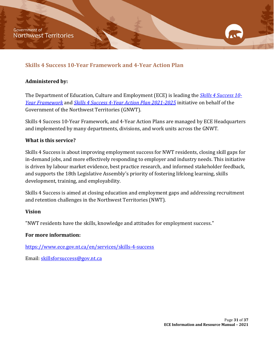## <span id="page-31-0"></span>**Skills 4 Success 10-Year Framework and 4-Year Action Plan**

#### **Administered by:**

The Department of Education, Culture and Employment (ECE) is leading the *[Skills 4 Success](https://www.ece.gov.nt.ca/sites/ece/files/resources/skills_4_success_-_10-year_strategic_framework.pdf) 10- [Year Framework](https://www.ece.gov.nt.ca/sites/ece/files/resources/skills_4_success_-_10-year_strategic_framework.pdf)* and *[Skills 4 Success 4-Year Action Plan](https://www.ece.gov.nt.ca/sites/ece/files/resources/2022_-_03_-_s4s_action_plan_2021-2025.pdf) 2021-2025* initiative on behalf of the Government of the Northwest Territories (GNWT).

Skills 4 Success 10-Year Framework, and 4-Year Action Plans are managed by ECE Headquarters and implemented by many departments, divisions, and work units across the GNWT.

## **What is this service?**

Skills 4 Success is about improving employment success for NWT residents, closing skill gaps for in-demand jobs, and more effectively responding to employer and industry needs. This initiative is driven by labour market evidence, best practice research, and informed stakeholder feedback, and supports the 18th Legislative Assembly's priority of fostering lifelong learning, skills development, training, and employability.

Skills 4 Success is aimed at closing education and employment gaps and addressing recruitment and retention challenges in the Northwest Territories (NWT).

#### **Vision**

"NWT residents have the skills, knowledge and attitudes for employment success."

#### **For more information:**

<https://www.ece.gov.nt.ca/en/services/skills-4-success>

Email: [skillsforsuccess@gov.nt.ca](mailto:skillsforsuccess@gov.nt.ca)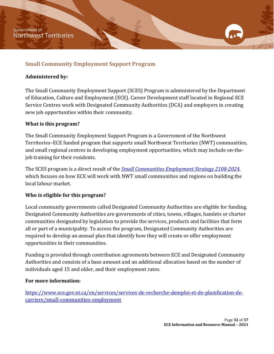## <span id="page-32-0"></span>**Small Community Employment Support Program**

#### **Administered by:**

The Small Community Employment Support (SCES) Program is administered by the Department of Education, Culture and Employment (ECE). Career Development staff located in Regional ECE Service Centres work with Designated Community Authorities (DCA) and employers in creating new job opportunities within their community.

#### **What is this program?**

The Small Community Employment Support Program is a Government of the Northwest Territories–ECE funded program that supports small Northwest Territories (NWT) communities, and small regional centres in developing employment opportunities, which may include on-thejob training for their residents.

The SCES program is a direct result of the *[Small Communities Employment Strategy 2108-2024,](https://www.ece.gov.nt.ca/sites/ece/files/resources/024-sc_employment_strategy_web.pdf)*  which focuses on how ECE will work with NWT small communities and regions on building the local labour market.

#### **Who is eligible for this program?**

Local community governments called Designated Community Authorities are eligible for funding. Designated Community Authorities are governments of cities, towns, villages, hamlets or charter communities designated by legislation to provide the services, products and facilities that form all or part of a municipality. To access the program, Designated Community Authorities are required to develop an annual plan that identify how they will create or offer employment opportunities in their communities.

Funding is provided through contribution agreements between ECE and Designated Community Authorities and consists of a base amount and an additional allocation based on the number of individuals aged 15 and older, and their employment rates.

#### **For more information:**

[https://www.ece.gov.nt.ca/en/services/services-de-recherche-demploi-et-de-planification-de](https://www.ece.gov.nt.ca/en/services/services-de-recherche-demploi-et-de-planification-de-carriere/small-communities-employment)[carriere/small-communities-employment](https://www.ece.gov.nt.ca/en/services/services-de-recherche-demploi-et-de-planification-de-carriere/small-communities-employment)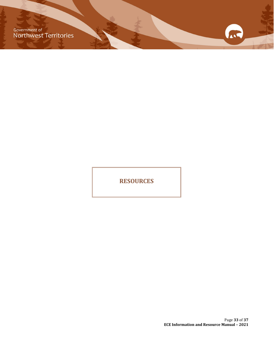Government of<br>Northwest Territories

**RESOURCES**

Page **33** of **37 ECE Information and Resource Manual – 2021**

ALL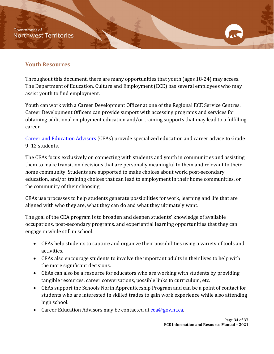**Government of Northwest Territories** 

## <span id="page-34-0"></span>**Youth Resources**

Throughout this document, there are many opportunities that youth (ages 18-24) may access. The Department of Education, Culture and Employment (ECE) has several employees who may assist youth to find employment.

Youth can work with a Career Development Officer at one of the Regional ECE Service Centres. Career Development Officers can provide support with accessing programs and services for obtaining additional employment education and/or training supports that may lead to a fulfilling career.

[Career and Education Advisors](https://www.ece.gov.nt.ca/en/services/resources-current-education-staff/career-and-education-advisors) (CEAs) provide specialized education and career advice to Grade 9–12 students.

The CEAs focus exclusively on connecting with students and youth in communities and assisting them to make transition decisions that are personally meaningful to them and relevant to their home community. Students are supported to make choices about work, post-secondary education, and/or training choices that can lead to employment in their home communities, or the community of their choosing.

CEAs use processes to help students generate possibilities for work, learning and life that are aligned with who they are, what they can do and what they ultimately want.

The goal of the CEA program is to broaden and deepen students' knowledge of available occupations, post-secondary programs, and experiential learning opportunities that they can engage in while still in school.

- CEAs help students to capture and organize their possibilities using a variety of tools and activities.
- CEAs also encourage students to involve the important adults in their lives to help with the more significant decisions.
- CEAs can also be a resource for educators who are working with students by providing tangible resources, career conversations, possible links to curriculum, etc.
- CEAs support the Schools North Apprenticeship Program and can be a point of contact for students who are interested in skilled trades to gain work experience while also attending high school.
- Career Education Advisors may be contacted at cea@gov.nt.ca.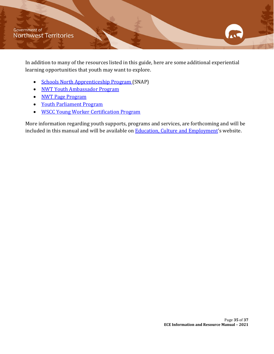In addition to many of the resources listed in this guide, here are some additional experiential learning opportunities that youth may want to explore.

- Schools North [Apprenticeship Program \(](https://www.ece.gov.nt.ca/en/services/apprenticeship-and-trades/schools-north-apprenticeship-program)SNAP)
- [NWT Youth Ambassador Program](https://www.maca.gov.nt.ca/en/services/nwt-youth-ambassador-program)
- [NWT Page Program](https://www.ntassembly.ca/about/page-program)
- [Youth Parliament Program](https://www.ntassembly.ca/about/youth-parliament)
- [WSCC Young Worker Certification Program](https://www.wscc.nt.ca/YWCourse)

More information regarding youth supports, programs and services, are forthcoming and will be included in this manual and will be available on **Education**, Culture and Employment's website.